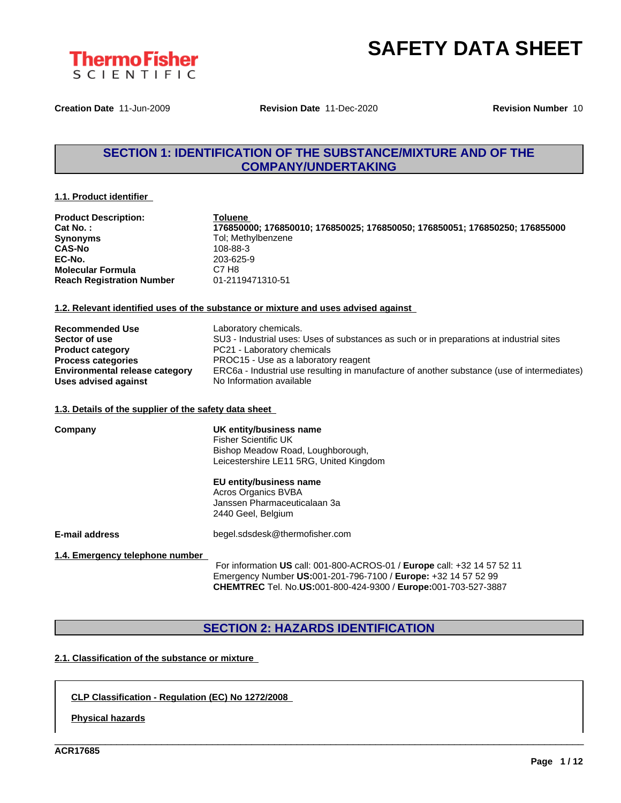



**Creation Date** 11-Jun-2009 **Revision Date** 11-Dec-2020 **Revision Number** 10

# **SECTION 1: IDENTIFICATION OF THE SUBSTANCE/MIXTURE AND OF THE COMPANY/UNDERTAKING**

#### **1.1. Product identifier**

| <b>Product Description:</b>      | Toluene                                                                     |
|----------------------------------|-----------------------------------------------------------------------------|
| Cat No.:                         | 176850000; 176850010; 176850025; 176850050; 176850051; 176850250; 176855000 |
| <b>Synonyms</b>                  | Tol; Methylbenzene                                                          |
| <b>CAS-No</b>                    | 108-88-3                                                                    |
| EC-No.                           | 203-625-9                                                                   |
| <b>Molecular Formula</b>         | C7 H8                                                                       |
| <b>Reach Registration Number</b> | 01-2119471310-51                                                            |
|                                  |                                                                             |

#### **1.2. Relevant identified uses of the substance or mixture and uses advised against**

| <b>Recommended Use</b><br>Sector of use | Laboratory chemicals.<br>SU3 - Industrial uses: Uses of substances as such or in preparations at industrial sites |
|-----------------------------------------|-------------------------------------------------------------------------------------------------------------------|
| <b>Product category</b>                 | PC21 - Laboratory chemicals                                                                                       |
| <b>Process categories</b>               | PROC15 - Use as a laboratory reagent                                                                              |
| <b>Environmental release category</b>   | ERC6a - Industrial use resulting in manufacture of another substance (use of intermediates)                       |
| Uses advised against                    | No Information available                                                                                          |

#### **1.3. Details of the supplier of the safety data sheet**

| Company                         | UK entity/business name<br><b>Fisher Scientific UK</b><br>Bishop Meadow Road, Loughborough,<br>Leicestershire LE11 5RG, United Kingdom     |  |  |  |  |
|---------------------------------|--------------------------------------------------------------------------------------------------------------------------------------------|--|--|--|--|
|                                 | EU entity/business name<br>Acros Organics BVBA<br>Janssen Pharmaceuticalaan 3a<br>2440 Geel, Belgium                                       |  |  |  |  |
| E-mail address                  | begel.sdsdesk@thermofisher.com                                                                                                             |  |  |  |  |
| 1.4. Emergency telephone number | For information US call: 001-800-ACROS-01 / Europe call: +32 14 57 52 11<br>Emergency Number US:001-201-796-7100 / Europe: +32 14 57 52 99 |  |  |  |  |

rope: +32 14 57 52 99 **CHEMTREC** Tel. No.**US:**001-800-424-9300 / **Europe:**001-703-527-3887

\_\_\_\_\_\_\_\_\_\_\_\_\_\_\_\_\_\_\_\_\_\_\_\_\_\_\_\_\_\_\_\_\_\_\_\_\_\_\_\_\_\_\_\_\_\_\_\_\_\_\_\_\_\_\_\_\_\_\_\_\_\_\_\_\_\_\_\_\_\_\_\_\_\_\_\_\_\_\_\_\_\_\_\_\_\_\_\_\_\_\_\_\_\_

# **SECTION 2: HAZARDS IDENTIFICATION**

## **2.1. Classification of the substance or mixture**

### **CLP Classification - Regulation (EC) No 1272/2008**

**Physical hazards**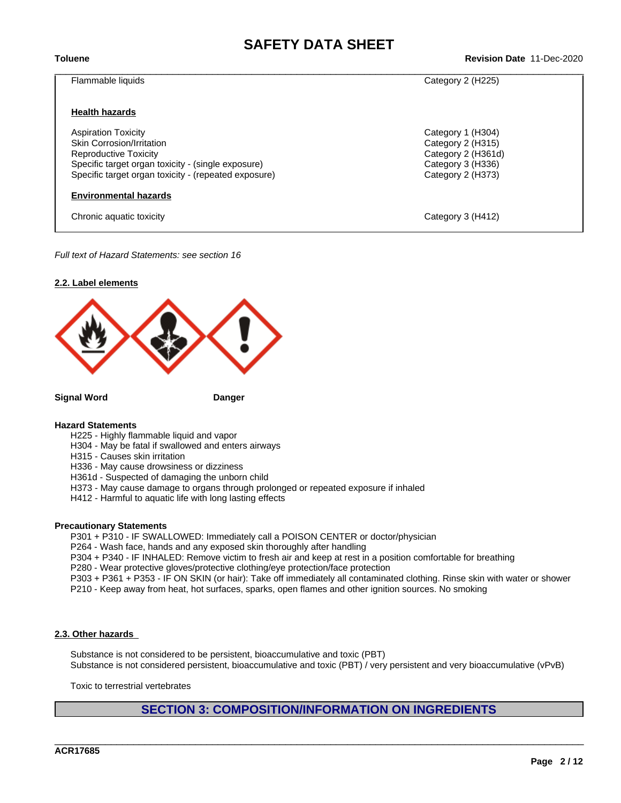$\_$  ,  $\_$  ,  $\_$  ,  $\_$  ,  $\_$  ,  $\_$  ,  $\_$  ,  $\_$  ,  $\_$  ,  $\_$  ,  $\_$  ,  $\_$  ,  $\_$  ,  $\_$  ,  $\_$  ,  $\_$  ,  $\_$  ,  $\_$  ,  $\_$  ,  $\_$  ,  $\_$  ,  $\_$  ,  $\_$  ,  $\_$  ,  $\_$  ,  $\_$  ,  $\_$  ,  $\_$  ,  $\_$  ,  $\_$  ,  $\_$  ,  $\_$  ,  $\_$  ,  $\_$  ,  $\_$  ,  $\_$  ,  $\_$  ,

**Toluene Revision Date** 11-Dec-2020

Flammable liquids Category 2 (H225)

#### **Health hazards**

Aspiration Toxicity Category 1 (H304) Skin Corrosion/Irritation **Category 2** (H315) Reproductive Toxicity Category 2 (H361d) Specific target organ toxicity - (single exposure) Category 3 (H336) Category 3 (H336) Specific target organ toxicity - (repeated exposure) Category 2 (H373)

#### **Environmental hazards**

Chronic aquatic toxicity Category 3 (H412)

#### *Full text of Hazard Statements: see section 16*

#### **2.2. Label elements**



**Signal Word Danger**

#### **Hazard Statements**

- H225 Highly flammable liquid and vapor
- H304 May be fatal if swallowed and enters airways
- H315 Causes skin irritation
- H336 May cause drowsiness or dizziness
- H361d Suspected of damaging the unborn child
- H373 May cause damage to organs through prolonged or repeated exposure if inhaled
- H412 Harmful to aquatic life with long lasting effects

#### **Precautionary Statements**

P301 + P310 - IF SWALLOWED: Immediately call a POISON CENTER or doctor/physician

- P264 Wash face, hands and any exposed skin thoroughly after handling
- P304 + P340 IF INHALED: Remove victim to fresh air and keep atrest in a position comfortable for breathing
- P280 Wear protective gloves/protective clothing/eye protection/face protection
- P303 + P361 + P353 IF ON SKIN (or hair): Take off immediately all contaminated clothing. Rinse skin with water or shower
- P210 Keep away from heat, hot surfaces, sparks, open flames and other ignition sources. No smoking

#### **2.3. Other hazards**

Substance is not considered to be persistent, bioaccumulative and toxic (PBT) Substance is not considered persistent, bioaccumulative and toxic (PBT) / very persistent and very bioaccumulative (vPvB)

Toxic to terrestrial vertebrates

## **SECTION 3: COMPOSITION/INFORMATION ON INGREDIENTS**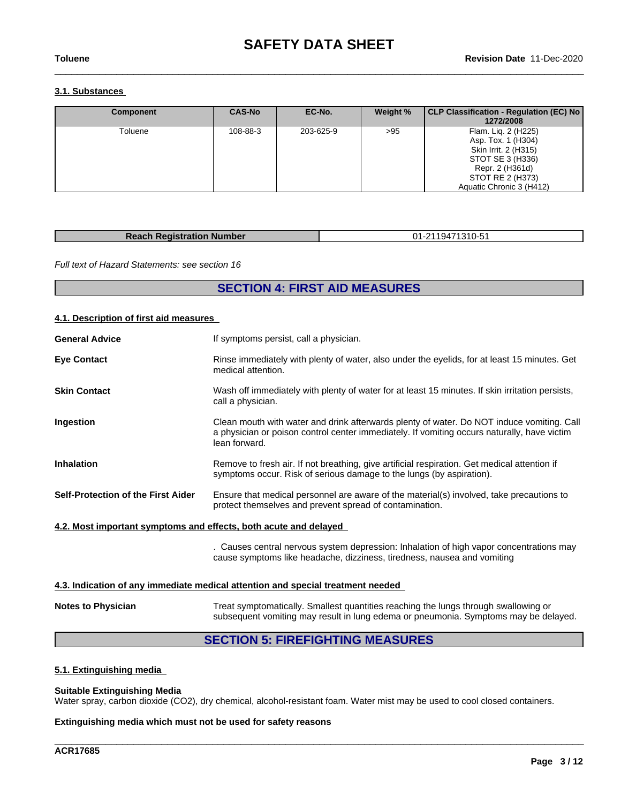$\_$  ,  $\_$  ,  $\_$  ,  $\_$  ,  $\_$  ,  $\_$  ,  $\_$  ,  $\_$  ,  $\_$  ,  $\_$  ,  $\_$  ,  $\_$  ,  $\_$  ,  $\_$  ,  $\_$  ,  $\_$  ,  $\_$  ,  $\_$  ,  $\_$  ,  $\_$  ,  $\_$  ,  $\_$  ,  $\_$  ,  $\_$  ,  $\_$  ,  $\_$  ,  $\_$  ,  $\_$  ,  $\_$  ,  $\_$  ,  $\_$  ,  $\_$  ,  $\_$  ,  $\_$  ,  $\_$  ,  $\_$  ,  $\_$  ,

### **3.1. Substances**

| Component | <b>CAS-No</b> | EC-No.    | Weight % | CLP Classification - Regulation (EC) No<br>1272/2008                                                                                                     |
|-----------|---------------|-----------|----------|----------------------------------------------------------------------------------------------------------------------------------------------------------|
| Toluene   | 108-88-3      | 203-625-9 | >95      | Flam. Liq. 2 (H225)<br>Asp. Tox. 1 (H304)<br>Skin Irrit. 2 (H315)<br>STOT SE 3 (H336)<br>Repr. 2 (H361d)<br>STOT RE 2 (H373)<br>Aquatic Chronic 3 (H412) |

| <b>Reach Registration Number</b> | 01-2119471310-51 |
|----------------------------------|------------------|

*Full text of Hazard Statements: see section 16*

# **SECTION 4: FIRST AID MEASURES**

#### **4.1. Description of first aid measures**

| <b>General Advice</b>                                            | If symptoms persist, call a physician.                                                                                                                                                                    |
|------------------------------------------------------------------|-----------------------------------------------------------------------------------------------------------------------------------------------------------------------------------------------------------|
| <b>Eye Contact</b>                                               | Rinse immediately with plenty of water, also under the eyelids, for at least 15 minutes. Get<br>medical attention.                                                                                        |
| <b>Skin Contact</b>                                              | Wash off immediately with plenty of water for at least 15 minutes. If skin irritation persists,<br>call a physician.                                                                                      |
| Ingestion                                                        | Clean mouth with water and drink afterwards plenty of water. Do NOT induce vomiting. Call<br>a physician or poison control center immediately. If vomiting occurs naturally, have victim<br>lean forward. |
| <b>Inhalation</b>                                                | Remove to fresh air. If not breathing, give artificial respiration. Get medical attention if<br>symptoms occur. Risk of serious damage to the lungs (by aspiration).                                      |
| Self-Protection of the First Aider                               | Ensure that medical personnel are aware of the material(s) involved, take precautions to<br>protect themselves and prevent spread of contamination.                                                       |
| 4.2. Most important symptoms and effects, both acute and delayed |                                                                                                                                                                                                           |
|                                                                  |                                                                                                                                                                                                           |

. Causes central nervous system depression: Inhalation of high vapor concentrations may cause symptoms like headache, dizziness, tiredness, nausea and vomiting

\_\_\_\_\_\_\_\_\_\_\_\_\_\_\_\_\_\_\_\_\_\_\_\_\_\_\_\_\_\_\_\_\_\_\_\_\_\_\_\_\_\_\_\_\_\_\_\_\_\_\_\_\_\_\_\_\_\_\_\_\_\_\_\_\_\_\_\_\_\_\_\_\_\_\_\_\_\_\_\_\_\_\_\_\_\_\_\_\_\_\_\_\_\_

#### **4.3. Indication of any immediate medical attention and special treatment needed**

**Notes to Physician** Treat symptomatically. Smallest quantities reaching the lungs through swallowing or subsequent vomiting may result in lung edema or pneumonia. Symptoms may be delayed.

## **SECTION 5: FIREFIGHTING MEASURES**

### **5.1. Extinguishing media**

### **Suitable Extinguishing Media**

Water spray, carbon dioxide (CO2), dry chemical, alcohol-resistant foam. Water mist may be used to cool closed containers.

#### **Extinguishing media which must not be used for safety reasons**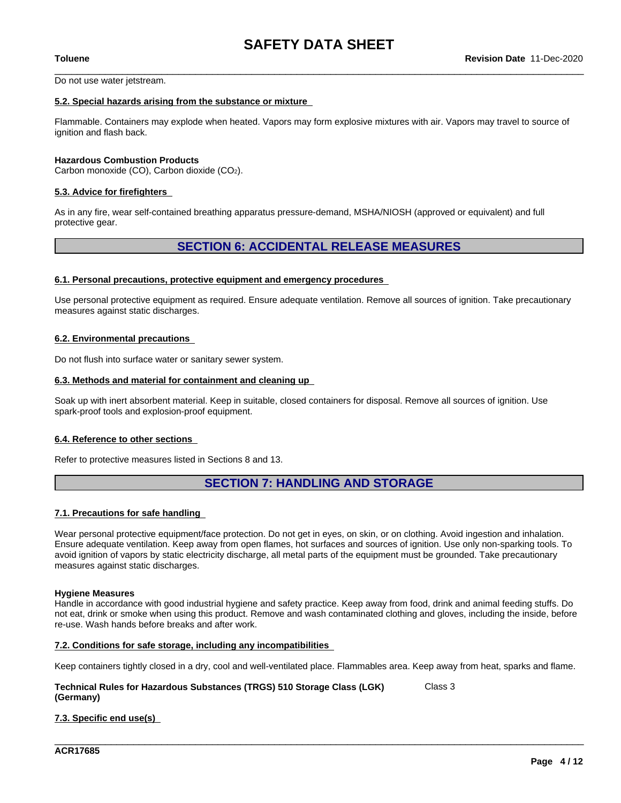Do not use water jetstream.

#### **5.2. Special hazards arising from the substance or mixture**

Flammable. Containers may explode when heated. Vapors may form explosive mixtures with air. Vapors may travel to source of ignition and flash back.

#### **Hazardous Combustion Products**

Carbon monoxide (CO), Carbon dioxide (CO2).

#### **5.3. Advice for firefighters**

As in any fire, wear self-contained breathing apparatus pressure-demand, MSHA/NIOSH (approved or equivalent) and full protective gear.

## **SECTION 6: ACCIDENTAL RELEASE MEASURES**

#### **6.1. Personal precautions, protective equipment and emergency procedures**

Use personal protective equipment as required. Ensure adequate ventilation. Remove all sources of ignition. Take precautionary measures against static discharges.

#### **6.2. Environmental precautions**

Do not flush into surface water or sanitary sewer system.

#### **6.3. Methods and material for containment and cleaning up**

Soak up with inert absorbent material. Keep in suitable, closed containers for disposal. Remove all sources of ignition. Use spark-proof tools and explosion-proof equipment.

#### **6.4. Reference to other sections**

Refer to protective measures listed in Sections 8 and 13.

## **SECTION 7: HANDLING AND STORAGE**

#### **7.1. Precautions for safe handling**

Wear personal protective equipment/face protection. Do not get in eyes, on skin, or on clothing. Avoid ingestion and inhalation. Ensure adequate ventilation. Keep away from open flames, hot surfaces and sources of ignition. Use only non-sparking tools. To avoid ignition of vapors by static electricity discharge, all metal parts of the equipment must be grounded. Take precautionary measures against static discharges.

#### **Hygiene Measures**

Handle in accordance with good industrial hygiene and safety practice. Keep away from food, drink and animal feeding stuffs. Do not eat, drink or smoke when using this product. Remove and wash contaminated clothing and gloves, including the inside, before re-use. Wash hands before breaks and after work.

#### **7.2. Conditions for safe storage, including any incompatibilities**

Keep containers tightly closed in a dry, cool and well-ventilated place. Flammables area. Keep away from heat, sparks and flame.

\_\_\_\_\_\_\_\_\_\_\_\_\_\_\_\_\_\_\_\_\_\_\_\_\_\_\_\_\_\_\_\_\_\_\_\_\_\_\_\_\_\_\_\_\_\_\_\_\_\_\_\_\_\_\_\_\_\_\_\_\_\_\_\_\_\_\_\_\_\_\_\_\_\_\_\_\_\_\_\_\_\_\_\_\_\_\_\_\_\_\_\_\_\_

#### **Technical Rules for Hazardous Substances (TRGS) 510 Storage Class (LGK) (Germany)** Class 3

### **7.3. Specific end use(s)**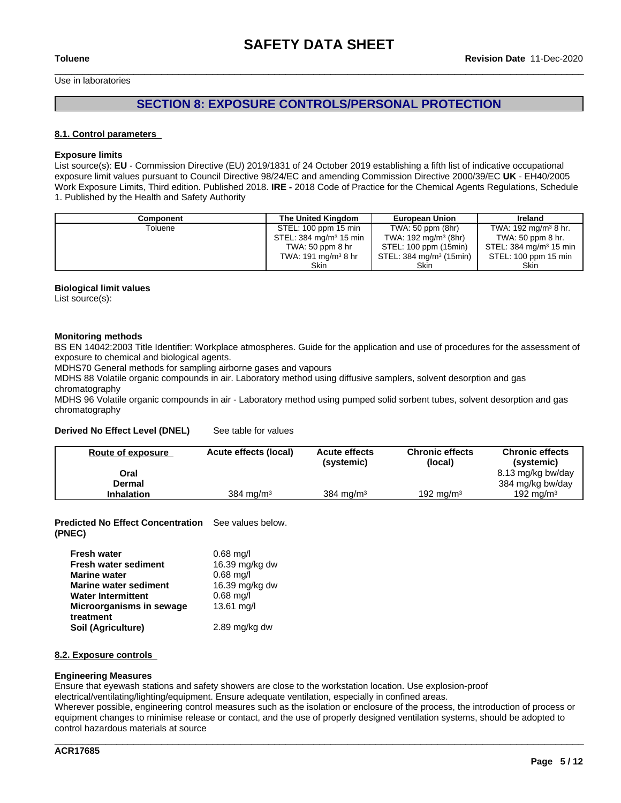Use in laboratories

## **SECTION 8: EXPOSURE CONTROLS/PERSONAL PROTECTION**

#### **8.1. Control parameters**

#### **Exposure limits**

List source(s): **EU** - Commission Directive (EU) 2019/1831 of 24 October 2019 establishing a fifth list ofindicative occupational exposure limit values pursuant to Council Directive 98/24/EC and amending Commission Directive 2000/39/EC UK - EH40/2005 Work Exposure Limits, Third edition. Published 2018. **IRE -** 2018 Code of Practice for the Chemical Agents Regulations, Schedule 1. Published by the Health and Safety Authority

| Component | The United Kingdom                 | <b>European Union</b>               | <b>Ireland</b>                     |
|-----------|------------------------------------|-------------------------------------|------------------------------------|
| Toluene   | STEL: 100 ppm 15 min               | TWA: 50 ppm (8hr)                   | TWA: 192 mg/m <sup>3</sup> 8 hr.   |
|           | STEL: 384 mg/m <sup>3</sup> 15 min | TWA: $192 \text{ mg/m}^3$ (8hr)     | TWA: 50 ppm 8 hr.                  |
|           | TWA: $50$ ppm $8$ hr               | STEL: 100 ppm (15min)               | STEL: 384 mg/m <sup>3</sup> 15 min |
|           | TWA: 191 mg/m <sup>3</sup> 8 hr    | STEL: 384 mg/m <sup>3</sup> (15min) | STEL: 100 ppm 15 min               |
|           | Skin                               | <b>Skin</b>                         | Skin                               |

#### **Biological limit values**

List source(s):

#### **Monitoring methods**

BS EN 14042:2003 Title Identifier: Workplace atmospheres. Guide for the application and use of procedures for the assessment of exposure to chemical and biological agents.

MDHS70 General methods for sampling airborne gases and vapours

MDHS 88 Volatile organic compounds in air. Laboratory method using diffusive samplers, solvent desorption and gas chromatography

MDHS 96 Volatile organic compounds in air - Laboratory method using pumped solid sorbent tubes, solvent desorption and gas chromatography

#### **Derived No Effect Level (DNEL)** See table for values

| Route of exposure | Acute effects (local) | <b>Acute effects</b><br>(systemic) | <b>Chronic effects</b><br>(local) | <b>Chronic effects</b><br>(systemic) |
|-------------------|-----------------------|------------------------------------|-----------------------------------|--------------------------------------|
| Oral              |                       |                                    |                                   | 8.13 mg/kg bw/day                    |
| Dermal            |                       |                                    |                                   | 384 mg/kg bw/day                     |
| <b>Inhalation</b> | 384 mg/m <sup>3</sup> | 384 mg/m $3$                       | 192 mg/m <sup>3</sup>             | 192 ma/m $3$                         |

**Predicted No Effect Concentration** See values below. **(PNEC)**

| <b>Fresh water</b>           | $0.68$ mg/l          |
|------------------------------|----------------------|
| <b>Fresh water sediment</b>  | 16.39 mg/kg dw       |
| <b>Marine water</b>          | $0.68$ mg/l          |
| <b>Marine water sediment</b> | 16.39 mg/kg dw       |
| <b>Water Intermittent</b>    | $0.68$ mg/l          |
| Microorganisms in sewage     | $13.61 \text{ mq/l}$ |
| treatment                    |                      |
| Soil (Agriculture)           | $2.89$ mg/kg dw      |

#### **8.2. Exposure controls**

#### **Engineering Measures**

Ensure that eyewash stations and safety showers are close to the workstation location. Use explosion-proof

electrical/ventilating/lighting/equipment. Ensure adequate ventilation, especially in confined areas.

Wherever possible, engineering control measures such as the isolation or enclosure of the process, the introduction of process or equipment changes to minimise release or contact, and the use of properly designed ventilation systems, should be adopted to control hazardous materials at source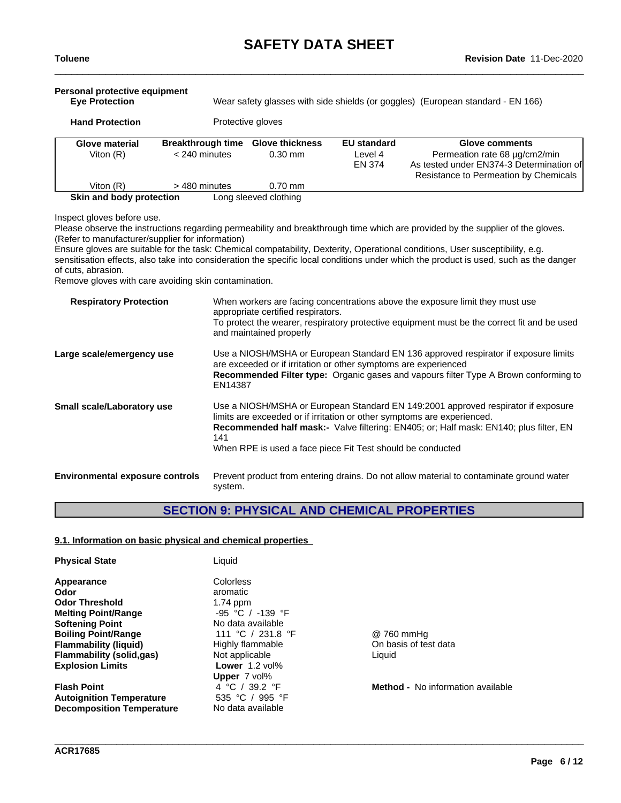| Personal protective equipment<br>Wear safety glasses with side shields (or goggles) (European standard - EN 166)<br><b>Eye Protection</b> |                                             |                                     |                                         |                                                                                                                                      |
|-------------------------------------------------------------------------------------------------------------------------------------------|---------------------------------------------|-------------------------------------|-----------------------------------------|--------------------------------------------------------------------------------------------------------------------------------------|
| <b>Hand Protection</b>                                                                                                                    |                                             | Protective gloves                   |                                         |                                                                                                                                      |
| Glove material<br>Viton $(R)$                                                                                                             | <b>Breakthrough time</b><br>$<$ 240 minutes | <b>Glove thickness</b><br>$0.30$ mm | <b>EU standard</b><br>Level 4<br>EN 374 | Glove comments<br>Permeation rate 68 µg/cm2/min<br>As tested under EN374-3 Determination of<br>Resistance to Permeation by Chemicals |
| Viton $(R)$                                                                                                                               | > 480 minutes                               | $0.70$ mm                           |                                         |                                                                                                                                      |
| Skin and body protection                                                                                                                  |                                             | Long sleeved clothing               |                                         |                                                                                                                                      |

Inspect gloves before use.

Please observe the instructions regarding permeability and breakthrough time which are provided by the supplier of the gloves. (Refer to manufacturer/supplier for information)

Ensure gloves are suitable for the task: Chemical compatability, Dexterity, Operational conditions, User susceptibility, e.g. sensitisation effects, also take into consideration the specific local conditions under which the product is used, such as the danger of cuts, abrasion.

Remove gloves with care avoiding skin contamination.

| <b>Respiratory Protection</b>          | When workers are facing concentrations above the exposure limit they must use<br>appropriate certified respirators.<br>To protect the wearer, respiratory protective equipment must be the correct fit and be used<br>and maintained properly                                                                                     |
|----------------------------------------|-----------------------------------------------------------------------------------------------------------------------------------------------------------------------------------------------------------------------------------------------------------------------------------------------------------------------------------|
| Large scale/emergency use              | Use a NIOSH/MSHA or European Standard EN 136 approved respirator if exposure limits<br>are exceeded or if irritation or other symptoms are experienced<br><b>Recommended Filter type:</b> Organic gases and vapours filter Type A Brown conforming to<br>EN14387                                                                  |
| Small scale/Laboratory use             | Use a NIOSH/MSHA or European Standard EN 149:2001 approved respirator if exposure<br>limits are exceeded or if irritation or other symptoms are experienced.<br><b>Recommended half mask:-</b> Valve filtering: EN405; or; Half mask: EN140; plus filter, EN<br>141<br>When RPE is used a face piece Fit Test should be conducted |
| <b>Environmental exposure controls</b> | Prevent product from entering drains. Do not allow material to contaminate ground water<br>system.                                                                                                                                                                                                                                |

# **SECTION 9: PHYSICAL AND CHEMICAL PROPERTIES**

### **9.1. Information on basic physical and chemical properties**

| <b>Physical State</b>            | Liquid               |                                      |
|----------------------------------|----------------------|--------------------------------------|
| Appearance                       | Colorless            |                                      |
| Odor                             | aromatic             |                                      |
| <b>Odor Threshold</b>            | $1.74$ ppm           |                                      |
| <b>Melting Point/Range</b>       | $-95$ °C / $-139$ °F |                                      |
| <b>Softening Point</b>           | No data available    |                                      |
| <b>Boiling Point/Range</b>       | 111 °C / 231.8 °F    | @ 760 mmHq                           |
| <b>Flammability (liquid)</b>     | Highly flammable     | On basis of test data                |
| <b>Flammability (solid,gas)</b>  | Not applicable       | Liquid                               |
| <b>Explosion Limits</b>          | Lower $1.2$ vol%     |                                      |
|                                  | <b>Upper</b> 7 vol%  |                                      |
| <b>Flash Point</b>               | 4 °C / 39.2 °F       | <b>Method -</b> No information avail |
| <b>Autoignition Temperature</b>  | 535 °C / 995 °F      |                                      |
| <b>Decomposition Temperature</b> | No data available    |                                      |

\_\_\_\_\_\_\_\_\_\_\_\_\_\_\_\_\_\_\_\_\_\_\_\_\_\_\_\_\_\_\_\_\_\_\_\_\_\_\_\_\_\_\_\_\_\_\_\_\_\_\_\_\_\_\_\_\_\_\_\_\_\_\_\_\_\_\_\_\_\_\_\_\_\_\_\_\_\_\_\_\_\_\_\_\_\_\_\_\_\_\_\_\_\_

**Method -** No information available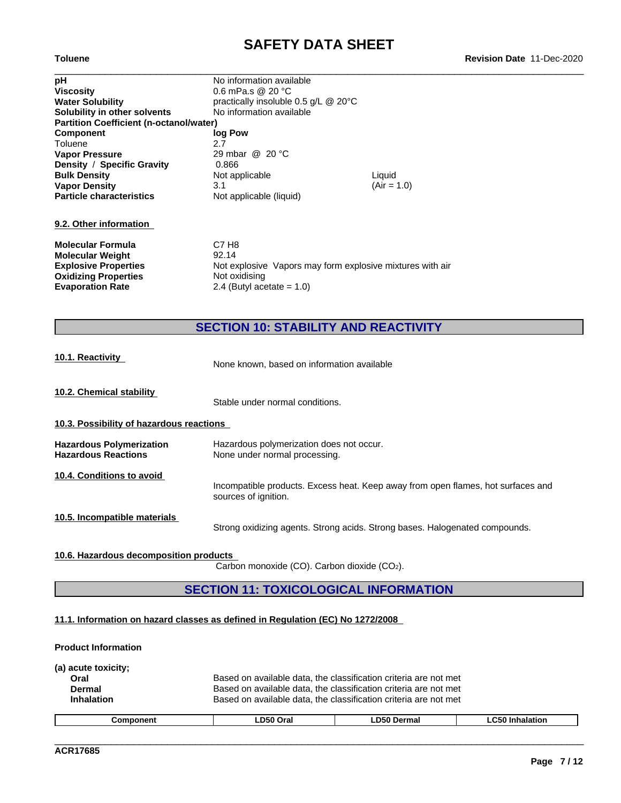**Toluene Revision Date** 11-Dec-2020

| pH                                             | No information available                                  |               |
|------------------------------------------------|-----------------------------------------------------------|---------------|
| <b>Viscosity</b>                               | 0.6 mPa.s @ 20 °C                                         |               |
| <b>Water Solubility</b>                        | practically insoluble $0.5$ g/L $@$ 20 $°C$               |               |
| Solubility in other solvents                   | No information available                                  |               |
| <b>Partition Coefficient (n-octanol/water)</b> |                                                           |               |
| <b>Component</b>                               | log Pow                                                   |               |
| Toluene                                        | 2.7                                                       |               |
| <b>Vapor Pressure</b>                          | 29 mbar @ 20 °C                                           |               |
| Density / Specific Gravity                     | 0.866                                                     |               |
| <b>Bulk Density</b>                            | Not applicable                                            | Liquid        |
| <b>Vapor Density</b>                           | 3.1                                                       | $(Air = 1.0)$ |
| <b>Particle characteristics</b>                | Not applicable (liquid)                                   |               |
| 9.2. Other information                         |                                                           |               |
| <b>Molecular Formula</b>                       | C7 H <sub>8</sub>                                         |               |
| <b>Molecular Weight</b>                        | 92.14                                                     |               |
| <b>Explosive Properties</b>                    | Not explosive Vapors may form explosive mixtures with air |               |
| <b>Oxidizing Properties</b>                    | Not oxidising                                             |               |
| <b>Evaporation Rate</b>                        | 2.4 (Butyl acetate = $1.0$ )                              |               |

# **SECTION 10: STABILITY AND REACTIVITY**

| 10.1. Reactivity                                              | None known, based on information available                                                               |
|---------------------------------------------------------------|----------------------------------------------------------------------------------------------------------|
| 10.2. Chemical stability                                      | Stable under normal conditions.                                                                          |
| 10.3. Possibility of hazardous reactions                      |                                                                                                          |
| <b>Hazardous Polymerization</b><br><b>Hazardous Reactions</b> | Hazardous polymerization does not occur.<br>None under normal processing.                                |
| 10.4. Conditions to avoid                                     | Incompatible products. Excess heat. Keep away from open flames, hot surfaces and<br>sources of ignition. |
| 10.5. Incompatible materials                                  | Strong oxidizing agents. Strong acids. Strong bases. Halogenated compounds.                              |

### **10.6. Hazardous decomposition products**

Carbon monoxide (CO). Carbon dioxide (CO2).

# **SECTION 11: TOXICOLOGICAL INFORMATION**

## **11.1. Information on hazard classes as defined in Regulation (EC) No 1272/2008**

**Product Information**

| (a) acute toxicity; |                                                                  |
|---------------------|------------------------------------------------------------------|
| Oral                | Based on available data, the classification criteria are not met |
| Dermal              | Based on available data, the classification criteria are not met |
| <b>Inhalation</b>   | Based on available data, the classification criteria are not met |
|                     |                                                                  |

| . חדרי<br>Orai<br>:omnonent<br>nalation<br>Derma<br>╌ |
|-------------------------------------------------------|
|-------------------------------------------------------|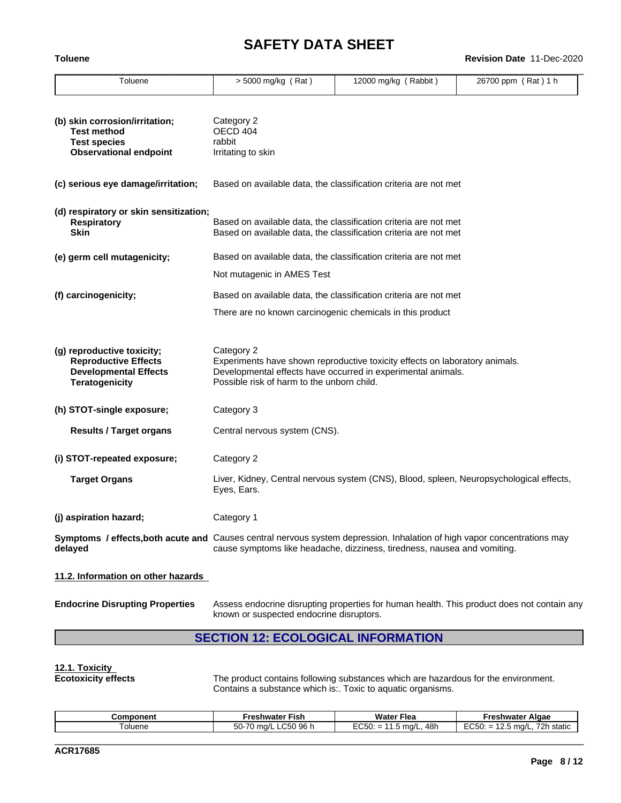### **Toluene Revision Date** 11-Dec-2020

| Toluene                                                                                                                             | $>$ 5000 mg/kg (Rat)                                                                                                                 | 12000 mg/kg (Rabbit)                                                                                                                        | 26700 ppm (Rat) 1 h |  |  |  |  |  |  |
|-------------------------------------------------------------------------------------------------------------------------------------|--------------------------------------------------------------------------------------------------------------------------------------|---------------------------------------------------------------------------------------------------------------------------------------------|---------------------|--|--|--|--|--|--|
| (b) skin corrosion/irritation;<br><b>Test method</b><br><b>Test species</b><br><b>Observational endpoint</b>                        | Category 2<br>OECD 404<br>rabbit<br>Irritating to skin                                                                               |                                                                                                                                             |                     |  |  |  |  |  |  |
| (c) serious eye damage/irritation;                                                                                                  | Based on available data, the classification criteria are not met                                                                     |                                                                                                                                             |                     |  |  |  |  |  |  |
| (d) respiratory or skin sensitization;<br><b>Respiratory</b><br><b>Skin</b>                                                         | Based on available data, the classification criteria are not met<br>Based on available data, the classification criteria are not met |                                                                                                                                             |                     |  |  |  |  |  |  |
| (e) germ cell mutagenicity;                                                                                                         | Based on available data, the classification criteria are not met                                                                     |                                                                                                                                             |                     |  |  |  |  |  |  |
| Not mutagenic in AMES Test                                                                                                          |                                                                                                                                      |                                                                                                                                             |                     |  |  |  |  |  |  |
| (f) carcinogenicity;                                                                                                                | Based on available data, the classification criteria are not met                                                                     |                                                                                                                                             |                     |  |  |  |  |  |  |
|                                                                                                                                     | There are no known carcinogenic chemicals in this product                                                                            |                                                                                                                                             |                     |  |  |  |  |  |  |
| (g) reproductive toxicity;<br><b>Reproductive Effects</b><br><b>Developmental Effects</b><br><b>Teratogenicity</b>                  | Category 2<br>Possible risk of harm to the unborn child.                                                                             | Experiments have shown reproductive toxicity effects on laboratory animals.<br>Developmental effects have occurred in experimental animals. |                     |  |  |  |  |  |  |
| (h) STOT-single exposure;                                                                                                           | Category 3                                                                                                                           |                                                                                                                                             |                     |  |  |  |  |  |  |
| <b>Results / Target organs</b>                                                                                                      | Central nervous system (CNS).                                                                                                        |                                                                                                                                             |                     |  |  |  |  |  |  |
| (i) STOT-repeated exposure;                                                                                                         | Category 2                                                                                                                           |                                                                                                                                             |                     |  |  |  |  |  |  |
| <b>Target Organs</b>                                                                                                                | Eyes, Ears.                                                                                                                          | Liver, Kidney, Central nervous system (CNS), Blood, spleen, Neuropsychological effects,                                                     |                     |  |  |  |  |  |  |
| (j) aspiration hazard;                                                                                                              | Category 1                                                                                                                           |                                                                                                                                             |                     |  |  |  |  |  |  |
| Symptoms / effects, both acute and Causes central nervous system depression. Inhalation of high vapor concentrations may<br>delayed |                                                                                                                                      | cause symptoms like headache, dizziness, tiredness, nausea and vomiting.                                                                    |                     |  |  |  |  |  |  |
| 11.2. Information on other hazards                                                                                                  |                                                                                                                                      |                                                                                                                                             |                     |  |  |  |  |  |  |
| <b>Endocrine Disrupting Properties</b>                                                                                              | known or suspected endocrine disruptors.                                                                                             | Assess endocrine disrupting properties for human health. This product does not contain any                                                  |                     |  |  |  |  |  |  |

# **SECTION 12: ECOLOGICAL INFORMATION**

# **12.1. Toxicity**

The product contains following substances which are hazardous for the environment. Contains a substance which is:. Toxic to aquatic organisms.

| Component | Freshwater<br>' Fish | <b>Water Flea</b>                  | Freshwater Algae                                   |
|-----------|----------------------|------------------------------------|----------------------------------------------------|
| oluene    | $-50.96h$<br>ma/     | 48h<br>ma/L<br>UGJ.<br>-<br>-<br>. | $-0.5$<br>72h<br>. .<br>ma/L<br>static<br>കഥ∵<br>- |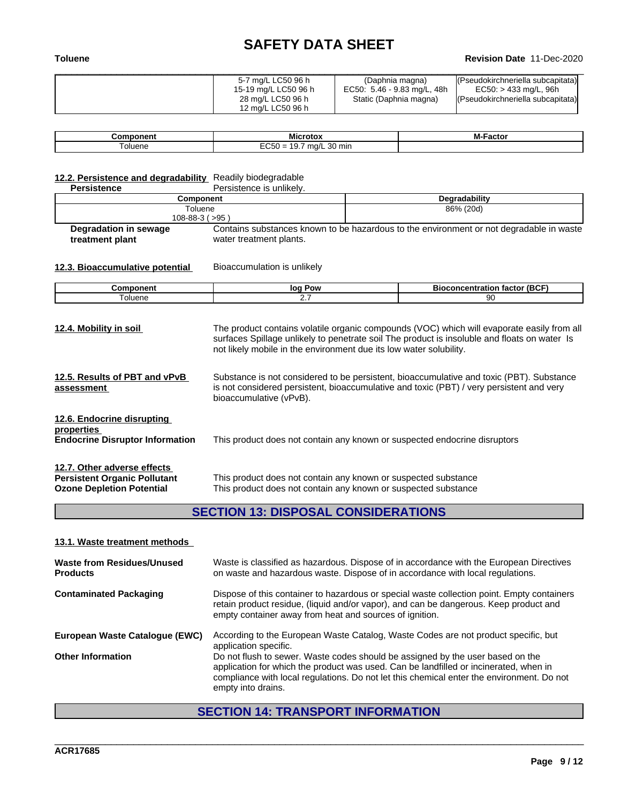### **Toluene Revision Date** 11-Dec-2020

| 5-7 mg/L LC50 96 h   | (Daphnia magna)             | (Pseudokirchneriella subcapitata) |
|----------------------|-----------------------------|-----------------------------------|
| 15-19 mg/L LC50 96 h | EC50: 5.46 - 9.83 mg/L, 48h | EC50: > 433 mg/L, 96h             |
| 28 mg/L LC50 96 h    | Static (Daphnia magna)      | (Pseudokirchneriella subcapitata) |
| 12 mg/L LC50 96 h    |                             |                                   |

| onent<br>'nm | Microtox                                           | <b>M-Factor</b> |
|--------------|----------------------------------------------------|-----------------|
| oluene<br>.  | $\sim$<br>/L 30 min<br>na/l<br>_ພ50 = 1<br>У.<br>. |                 |

## **12.2. Persistence and degradability** Readily biodegradable

| <b>12.2. Persistence and degradability</b> Readily biodegradable                                       |                                                                                                                                                                                                                                                                                       |                                                                                         |  |  |  |  |  |
|--------------------------------------------------------------------------------------------------------|---------------------------------------------------------------------------------------------------------------------------------------------------------------------------------------------------------------------------------------------------------------------------------------|-----------------------------------------------------------------------------------------|--|--|--|--|--|
| <b>Persistence</b>                                                                                     | Persistence is unlikely.                                                                                                                                                                                                                                                              |                                                                                         |  |  |  |  |  |
| Component                                                                                              |                                                                                                                                                                                                                                                                                       | Degradability                                                                           |  |  |  |  |  |
| Toluene                                                                                                |                                                                                                                                                                                                                                                                                       | 86% (20d)                                                                               |  |  |  |  |  |
| $108 - 88 - 3$ ( $>95$ )                                                                               |                                                                                                                                                                                                                                                                                       |                                                                                         |  |  |  |  |  |
| <b>Degradation in sewage</b>                                                                           |                                                                                                                                                                                                                                                                                       | Contains substances known to be hazardous to the environment or not degradable in waste |  |  |  |  |  |
| treatment plant                                                                                        | water treatment plants.                                                                                                                                                                                                                                                               |                                                                                         |  |  |  |  |  |
| 12.3. Bioaccumulative potential                                                                        | Bioaccumulation is unlikely                                                                                                                                                                                                                                                           |                                                                                         |  |  |  |  |  |
| <b>Component</b>                                                                                       | log Pow                                                                                                                                                                                                                                                                               | <b>Bioconcentration factor (BCF)</b>                                                    |  |  |  |  |  |
| Toluene                                                                                                | 2.7                                                                                                                                                                                                                                                                                   | 90                                                                                      |  |  |  |  |  |
| 12.5. Results of PBT and vPvB<br>assessment                                                            | not likely mobile in the environment due its low water solubility.<br>Substance is not considered to be persistent, bioaccumulative and toxic (PBT). Substance<br>is not considered persistent, bioaccumulative and toxic (PBT) / very persistent and very<br>bioaccumulative (vPvB). |                                                                                         |  |  |  |  |  |
| 12.6. Endocrine disrupting<br>properties<br><b>Endocrine Disruptor Information</b>                     | This product does not contain any known or suspected endocrine disruptors                                                                                                                                                                                                             |                                                                                         |  |  |  |  |  |
| 12.7. Other adverse effects<br><b>Persistent Organic Pollutant</b><br><b>Ozone Depletion Potential</b> | This product does not contain any known or suspected substance<br>This product does not contain any known or suspected substance                                                                                                                                                      |                                                                                         |  |  |  |  |  |

# **SECTION 13: DISPOSAL CONSIDERATIONS**

#### **13.1. Waste treatment methods**

| Waste is classified as hazardous. Dispose of in accordance with the European Directives<br>on waste and hazardous waste. Dispose of in accordance with local regulations.                                                                                                                  |
|--------------------------------------------------------------------------------------------------------------------------------------------------------------------------------------------------------------------------------------------------------------------------------------------|
| Dispose of this container to hazardous or special waste collection point. Empty containers<br>retain product residue, (liquid and/or vapor), and can be dangerous. Keep product and<br>empty container away from heat and sources of ignition.                                             |
| According to the European Waste Catalog, Waste Codes are not product specific, but<br>application specific.                                                                                                                                                                                |
| Do not flush to sewer. Waste codes should be assigned by the user based on the<br>application for which the product was used. Can be landfilled or incinerated, when in<br>compliance with local regulations. Do not let this chemical enter the environment. Do not<br>empty into drains. |
|                                                                                                                                                                                                                                                                                            |

# **SECTION 14: TRANSPORT INFORMATION**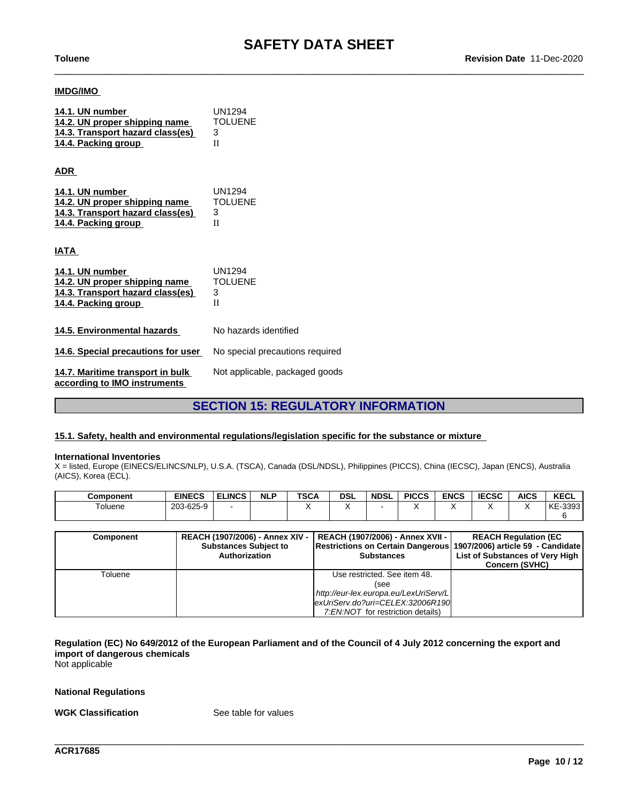### **IMDG/IMO**

| 14.1. UN number<br>14.2. UN proper shipping name<br>14.3. Transport hazard class(es)<br>14.4. Packing group | <b>UN1294</b><br><b>TOLUENE</b><br>3<br>H |
|-------------------------------------------------------------------------------------------------------------|-------------------------------------------|
| <b>ADR</b>                                                                                                  |                                           |
| 14.1. UN number<br>14.2. UN proper shipping name<br>14.3. Transport hazard class(es)<br>14.4. Packing group | UN1294<br><b>TOLUENE</b><br>3<br>H        |
| IATA                                                                                                        |                                           |
| 14.1. UN number<br>14.2. UN proper shipping name<br>14.3. Transport hazard class(es)<br>14.4. Packing group | <b>UN1294</b><br><b>TOLUENE</b><br>3<br>H |
| 14.5. Environmental hazards                                                                                 | No hazards identified                     |
| 14.6. Special precautions for user                                                                          | No special precautions required           |
| 14.7. Maritime transport in bulk<br>according to IMO instruments                                            | Not applicable, packaged goods            |

# **SECTION 15: REGULATORY INFORMATION**

## **15.1. Safety, health and environmental regulations/legislation specific for the substance or mixture**

#### **International Inventories**

X = listed, Europe (EINECS/ELINCS/NLP), U.S.A. (TSCA), Canada (DSL/NDSL), Philippines (PICCS), China (IECSC), Japan (ENCS), Australia (AICS), Korea (ECL).

| Component | <b>EINECS</b> | <b>ELINCS</b>                   | <b>NLP</b> | TSCA              | <b>DSL</b>                            | <b>NDSL</b> | <b>PICCS</b>                 | <b>ENCS</b>                     | <b>IECSC</b>                                                         | <b>AICS</b>           | <b>KECL</b> |
|-----------|---------------|---------------------------------|------------|-------------------|---------------------------------------|-------------|------------------------------|---------------------------------|----------------------------------------------------------------------|-----------------------|-------------|
| Toluene   | 203-625-9     |                                 |            |                   | ⋏                                     |             |                              | v                               |                                                                      |                       | KE-33931    |
|           |               |                                 |            |                   |                                       |             |                              |                                 |                                                                      |                       | 6           |
|           |               |                                 |            |                   |                                       |             |                              |                                 |                                                                      |                       |             |
| Component |               | REACH (1907/2006) - Annex XIV - |            |                   | REACH (1907/2006) - Annex XVII -      |             |                              |                                 | <b>REACH Regulation (EC)</b>                                         |                       |             |
|           |               | <b>Substances Subject to</b>    |            |                   |                                       |             |                              |                                 | Restrictions on Certain Dangerous (1907/2006) article 59 - Candidate |                       |             |
|           | Authorization |                                 |            | <b>Substances</b> |                                       |             |                              | List of Substances of Very High |                                                                      |                       |             |
|           |               |                                 |            |                   |                                       |             |                              |                                 |                                                                      | <b>Concern (SVHC)</b> |             |
| Toluene   |               |                                 |            |                   |                                       |             | Use restricted. See item 48. |                                 |                                                                      |                       |             |
|           |               |                                 |            |                   |                                       | (see        |                              |                                 |                                                                      |                       |             |
|           |               |                                 |            |                   | http://eur-lex.europa.eu/LexUriServ/L |             |                              |                                 |                                                                      |                       |             |
|           |               |                                 |            |                   | lexUriServ.do?uri=CELEX:32006R190L    |             |                              |                                 |                                                                      |                       |             |
|           |               |                                 |            |                   | 7:EN:NOT for restriction details)     |             |                              |                                 |                                                                      |                       |             |

## Regulation (EC) No 649/2012 of the European Parliament and of the Council of 4 July 2012 concerning the export and **import of dangerous chemicals**

\_\_\_\_\_\_\_\_\_\_\_\_\_\_\_\_\_\_\_\_\_\_\_\_\_\_\_\_\_\_\_\_\_\_\_\_\_\_\_\_\_\_\_\_\_\_\_\_\_\_\_\_\_\_\_\_\_\_\_\_\_\_\_\_\_\_\_\_\_\_\_\_\_\_\_\_\_\_\_\_\_\_\_\_\_\_\_\_\_\_\_\_\_\_

Not applicable

#### **National Regulations**

#### **WGK Classification** See table for values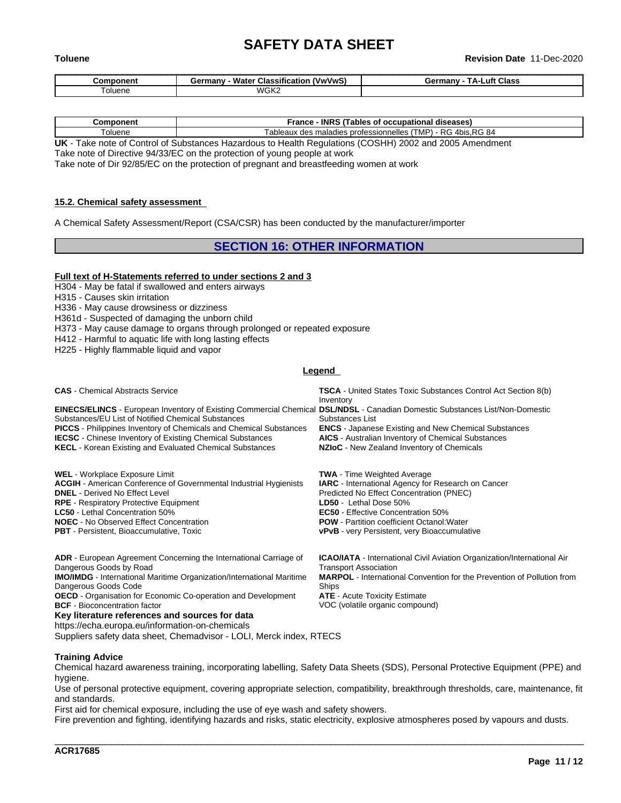| Component | <br>(VwVwS)<br>$\blacksquare$<br>∶manv<br><b>Classification</b><br>Ge<br>watel | Germany<br>Class<br>ΓA-Lutt |
|-----------|--------------------------------------------------------------------------------|-----------------------------|
| oluene    | WGK2                                                                           |                             |

| --       | <b>INRS</b><br>rance<br>diseases<br>ables<br>occ'<br>cupational<br>o                                             |  |
|----------|------------------------------------------------------------------------------------------------------------------|--|
| ' oluene | Df<br>, MP'<br>4hie<br>⊺aı<br>sionnelles<br>s professic<br>m.<br>bleaux<br>iladies<br>de:<br>нс<br>rw.<br>$\sim$ |  |

**UK** - Take note of Control of Substances Hazardous to Health Regulations (COSHH) 2002 and 2005 Amendment Take note of Directive 94/33/EC on the protection of young people at work

Take note of Dir 92/85/EC on the protection of pregnant and breastfeeding women at work

#### **15.2. Chemical safety assessment**

A Chemical Safety Assessment/Report (CSA/CSR) has been conducted by the manufacturer/importer

## **SECTION 16: OTHER INFORMATION**

#### **Full text of H-Statements referred to undersections 2 and 3**

H304 - May be fatal if swallowed and enters airways

H315 - Causes skin irritation

H336 - May cause drowsiness or dizziness

H361d - Suspected of damaging the unborn child

H373 - May cause damage to organs through prolonged or repeated exposure

H412 - Harmful to aquatic life with long lasting effects

H225 - Highly flammable liquid and vapor

#### **Legend**

| <b>CAS</b> - Chemical Abstracts Service                                                                                                                                                                                                                                                                                                                                                                       | <b>TSCA</b> - United States Toxic Substances Control Act Section 8(b)<br>Inventory                                                                                                        |
|---------------------------------------------------------------------------------------------------------------------------------------------------------------------------------------------------------------------------------------------------------------------------------------------------------------------------------------------------------------------------------------------------------------|-------------------------------------------------------------------------------------------------------------------------------------------------------------------------------------------|
| <b>EINECS/ELINCS</b> - European Inventory of Existing Commercial Chemical DSL/NDSL - Canadian Domestic Substances List/Non-Domestic<br>Substances/EU List of Notified Chemical Substances<br><b>PICCS</b> - Philippines Inventory of Chemicals and Chemical Substances<br><b>IECSC</b> - Chinese Inventory of Existing Chemical Substances<br><b>KECL</b> - Korean Existing and Evaluated Chemical Substances | Substances List<br><b>ENCS</b> - Japanese Existing and New Chemical Substances<br><b>AICS</b> - Australian Inventory of Chemical Substances<br>NZIoC - New Zealand Inventory of Chemicals |
| <b>WEL</b> - Workplace Exposure Limit<br><b>ACGIH</b> - American Conference of Governmental Industrial Hygienists<br><b>DNEL</b> - Derived No Effect Level<br><b>RPE</b> - Respiratory Protective Equipment                                                                                                                                                                                                   | <b>TWA</b> - Time Weighted Average<br><b>IARC</b> - International Agency for Research on Cancer<br>Predicted No Effect Concentration (PNEC)<br>LD50 - Lethal Dose 50%                     |

**LC50** - Lethal Concentration 50% **EC50** - Effective Concentration 50%

**NOEC** - No Observed Effect Concentration **POW** - Partition coefficient Octanol:Water

**PBT** - Persistent, Bioaccumulative, Toxic **very Persistent, very Bioaccumulative** very Persistent, very Bioaccumulative

**ADR** - European Agreement Concerning the International Carriage of Dangerous Goods by Road **IMO/IMDG** - International Maritime Organization/International Maritime

Transport Association **MARPOL** - International Convention for the Prevention of Pollution from Ships **OECD** - Organisation for Economic Co-operation and Development **ATE** - Acute Toxicity Estimate **BCF** - Bioconcentration factor **VOC** (volatile organic compound)

**ICAO/IATA** - International Civil Aviation Organization/International Air

## **Key literature references and sources for data**

https://echa.europa.eu/information-on-chemicals

Suppliers safety data sheet, Chemadvisor - LOLI, Merck index, RTECS

#### **Training Advice**

Dangerous Goods Code

Chemical hazard awareness training, incorporating labelling, Safety Data Sheets (SDS), Personal Protective Equipment (PPE) and hygiene.

Use of personal protective equipment, covering appropriate selection, compatibility, breakthrough thresholds, care, maintenance, fit and standards.

\_\_\_\_\_\_\_\_\_\_\_\_\_\_\_\_\_\_\_\_\_\_\_\_\_\_\_\_\_\_\_\_\_\_\_\_\_\_\_\_\_\_\_\_\_\_\_\_\_\_\_\_\_\_\_\_\_\_\_\_\_\_\_\_\_\_\_\_\_\_\_\_\_\_\_\_\_\_\_\_\_\_\_\_\_\_\_\_\_\_\_\_\_\_

First aid for chemical exposure, including the use of eye wash and safety showers.<br>Fire prevention and fighting, identifying hazards and risks, static electricity, explosive atmospheres posed by vapours and dusts.